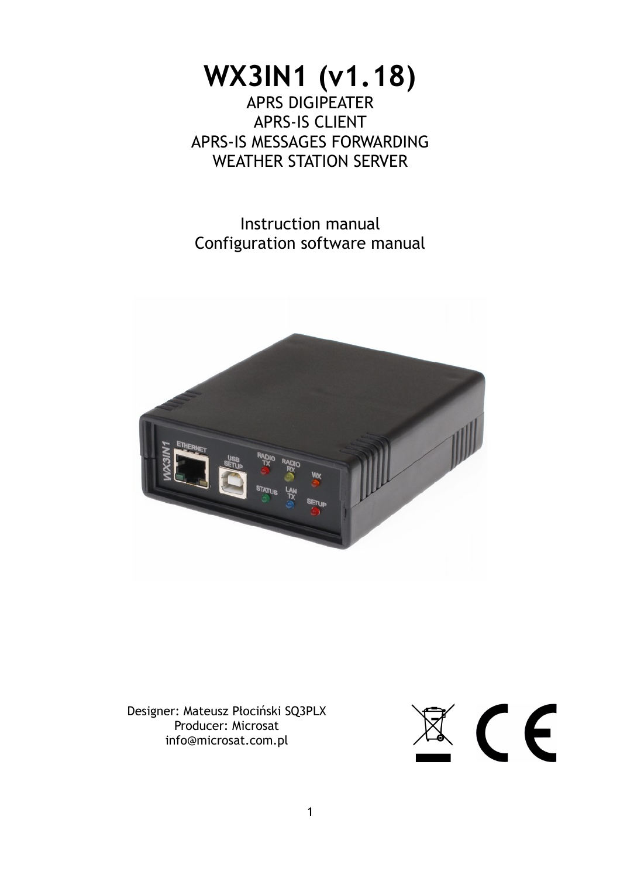# **WX3IN1 (v1.18)** APRS DIGIPEATER APRS-IS CLIENT

APRS-IS MESSAGES FORWARDING WEATHER STATION SERVER

Instruction manual Configuration software manual



Designer: Mateusz Płociński SQ3PLX Producer: Microsat info@microsat.com.pl

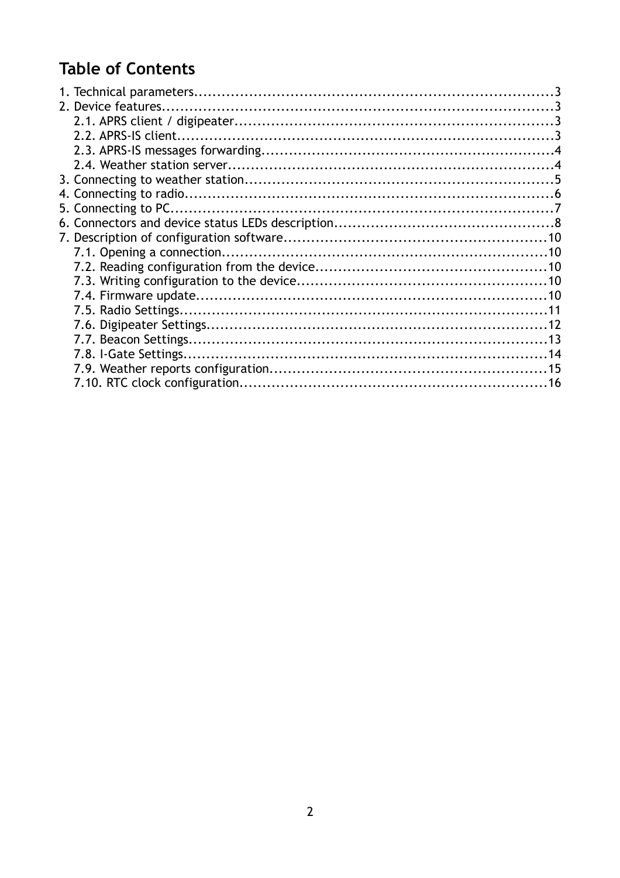# **Table of Contents**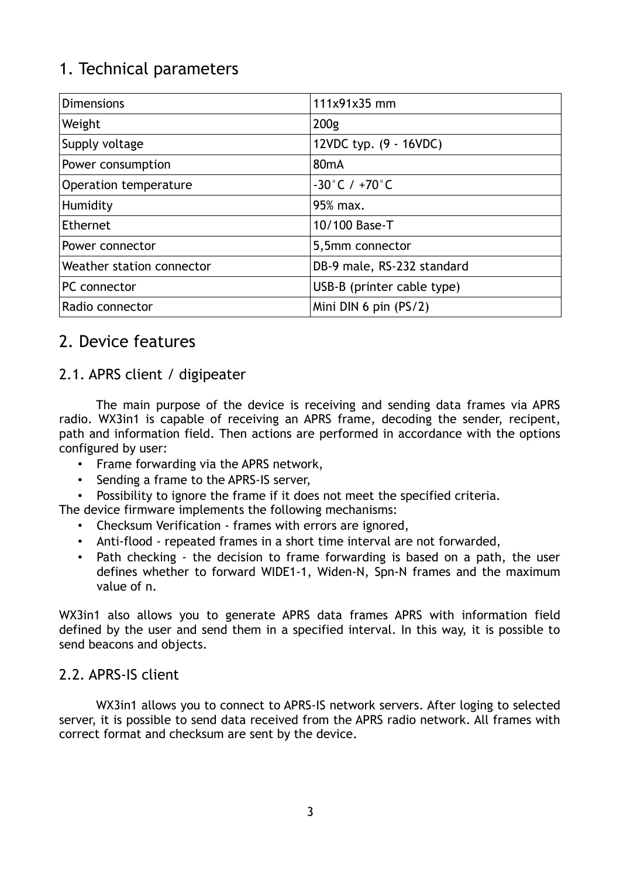# 1. Technical parameters

| <b>Dimensions</b>         | 111x91x35 mm                      |
|---------------------------|-----------------------------------|
| Weight                    | 200 <sub>g</sub>                  |
| Supply voltage            | 12VDC typ. (9 - 16VDC)            |
| Power consumption         | 80 <sub>m</sub> A                 |
| Operation temperature     | $-30^{\circ}$ C / $+70^{\circ}$ C |
| Humidity                  | 95% max.                          |
| Ethernet                  | 10/100 Base-T                     |
| Power connector           | 5,5mm connector                   |
| Weather station connector | DB-9 male, RS-232 standard        |
| PC connector              | USB-B (printer cable type)        |
| Radio connector           | Mini DIN 6 pin $(PS/2)$           |

### 2. Device features

### 2.1. APRS client / digipeater

The main purpose of the device is receiving and sending data frames via APRS radio. WX3in1 is capable of receiving an APRS frame, decoding the sender, recipent, path and information field. Then actions are performed in accordance with the options configured by user:

- Frame forwarding via the APRS network,
- Sending a frame to the APRS-IS server,
- Possibility to ignore the frame if it does not meet the specified criteria.
- The device firmware implements the following mechanisms:
	- Checksum Verification frames with errors are ignored,
	- Anti-flood repeated frames in a short time interval are not forwarded,
	- Path checking the decision to frame forwarding is based on a path, the user defines whether to forward WIDE1-1, Widen-N, Spn-N frames and the maximum value of n.

WX3in1 also allows you to generate APRS data frames APRS with information field defined by the user and send them in a specified interval. In this way, it is possible to send beacons and objects.

#### 2.2. APRS-IS client

WX3in1 allows you to connect to APRS-IS network servers. After loging to selected server, it is possible to send data received from the APRS radio network. All frames with correct format and checksum are sent by the device.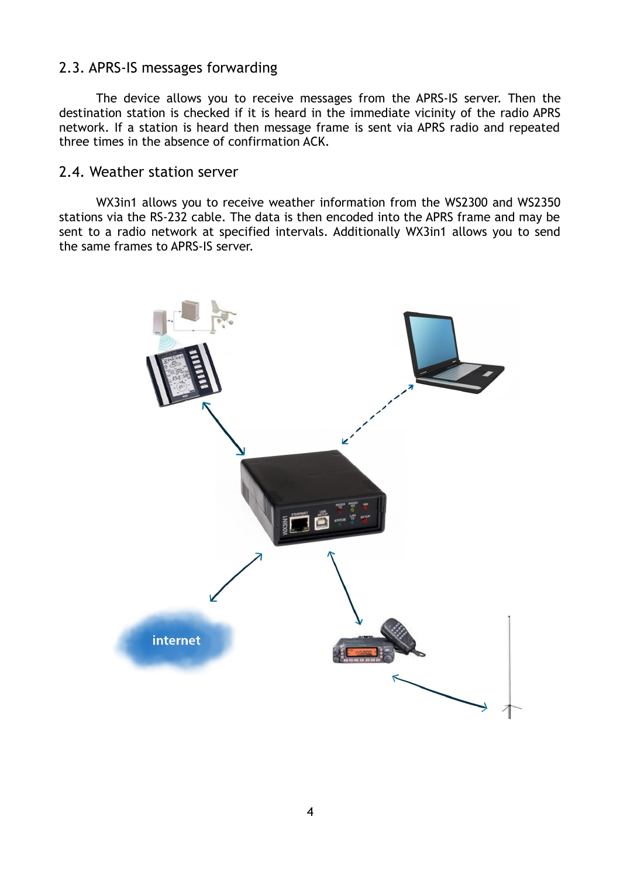### 2.3. APRS-IS messages forwarding

The device allows you to receive messages from the APRS-IS server. Then the destination station is checked if it is heard in the immediate vicinity of the radio APRS network. If a station is heard then message frame is sent via APRS radio and repeated three times in the absence of confirmation ACK.

#### 2.4. Weather station server

WX3in1 allows you to receive weather information from the WS2300 and WS2350 stations via the RS-232 cable. The data is then encoded into the APRS frame and may be sent to a radio network at specified intervals. Additionally WX3in1 allows you to send the same frames to APRS-IS server.

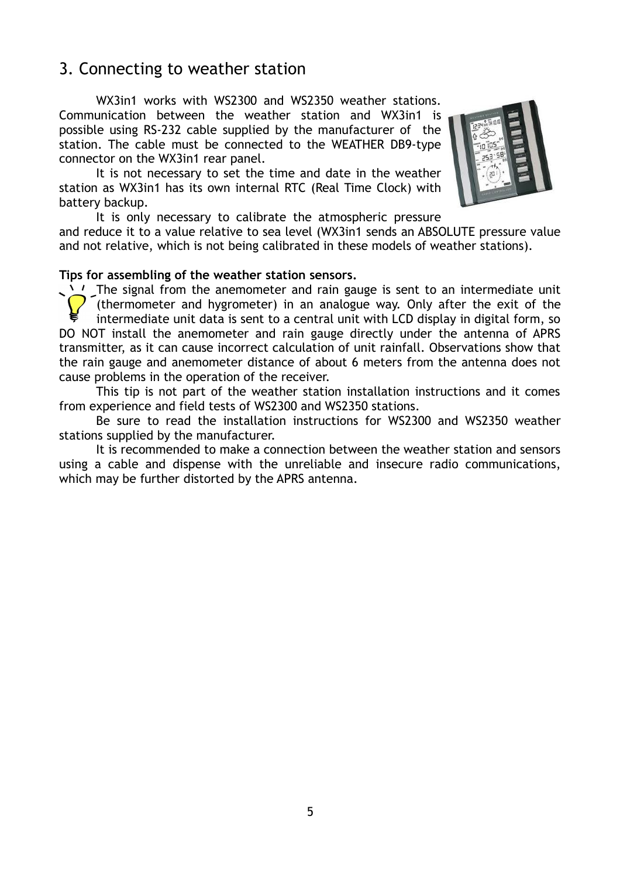### 3. Connecting to weather station

WX3in1 works with WS2300 and WS2350 weather stations. Communication between the weather station and WX3in1 is possible using RS-232 cable supplied by the manufacturer of the station. The cable must be connected to the WEATHER DB9-type connector on the WX3in1 rear panel.

It is not necessary to set the time and date in the weather station as WX3in1 has its own internal RTC (Real Time Clock) with battery backup.



It is only necessary to calibrate the atmospheric pressure

and reduce it to a value relative to sea level (WX3in1 sends an ABSOLUTE pressure value and not relative, which is not being calibrated in these models of weather stations).

#### **Tips for assembling of the weather station sensors.**

The signal from the anemometer and rain gauge is sent to an intermediate unit (thermometer and hygrometer) in an analogue way. Only after the exit of the intermediate unit data is sent to a central unit with LCD display in digital form, so DO NOT install the anemometer and rain gauge directly under the antenna of APRS transmitter, as it can cause incorrect calculation of unit rainfall. Observations show that the rain gauge and anemometer distance of about 6 meters from the antenna does not cause problems in the operation of the receiver.

This tip is not part of the weather station installation instructions and it comes from experience and field tests of WS2300 and WS2350 stations.

Be sure to read the installation instructions for WS2300 and WS2350 weather stations supplied by the manufacturer.

It is recommended to make a connection between the weather station and sensors using a cable and dispense with the unreliable and insecure radio communications, which may be further distorted by the APRS antenna.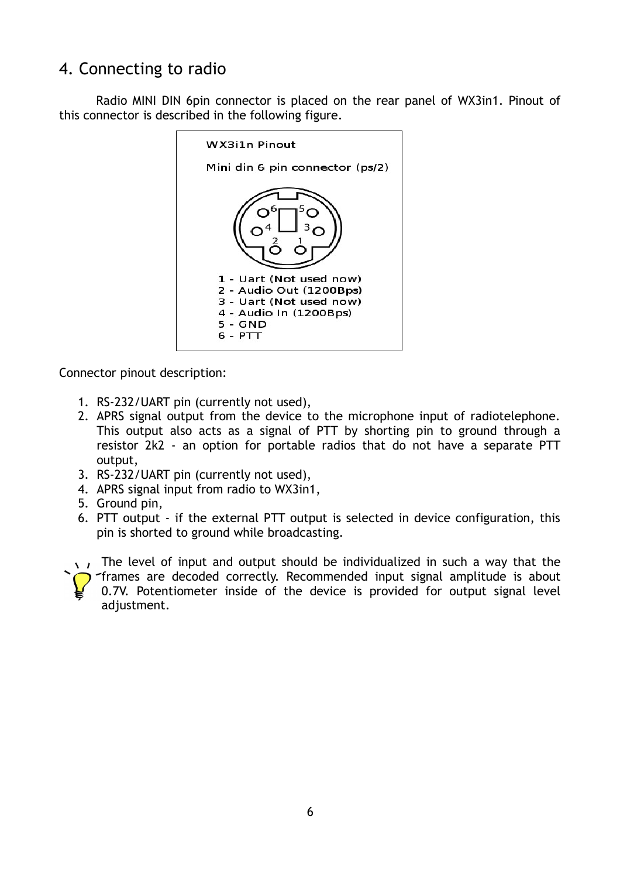## 4. Connecting to radio

Radio MINI DIN 6pin connector is placed on the rear panel of WX3in1. Pinout of this connector is described in the following figure.



Connector pinout description:

- 1. RS-232/UART pin (currently not used),
- 2. APRS signal output from the device to the microphone input of radiotelephone. This output also acts as a signal of PTT by shorting pin to ground through a resistor 2k2 - an option for portable radios that do not have a separate PTT output,
- 3. RS-232/UART pin (currently not used),
- 4. APRS signal input from radio to WX3in1,
- 5. Ground pin,
- 6. PTT output if the external PTT output is selected in device configuration, this pin is shorted to ground while broadcasting.
- $\sqrt{1}$  The level of input and output should be individualized in such a way that the frames are decoded correctly. Recommended input signal amplitude is about 0.7V. Potentiometer inside of the device is provided for output signal level adjustment.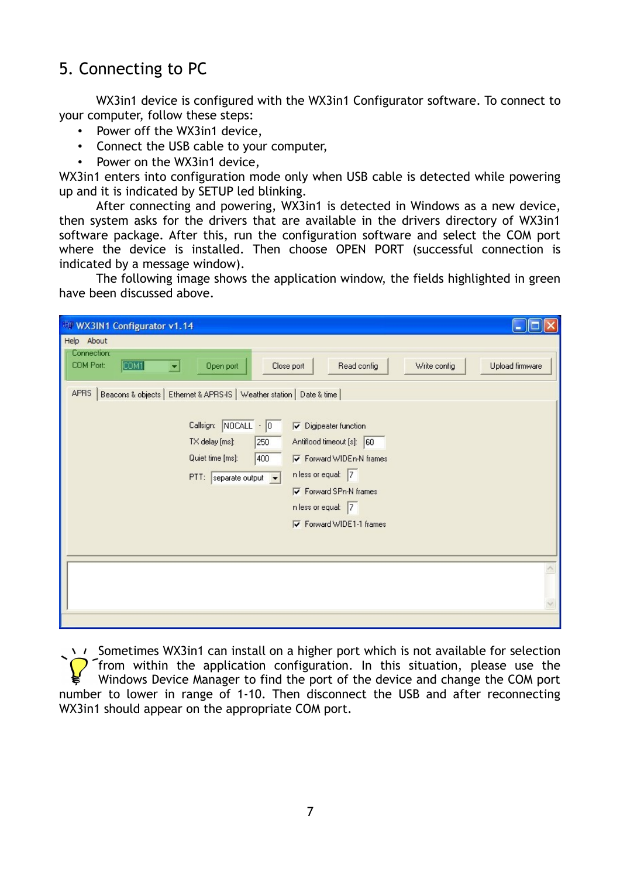## 5. Connecting to PC

WX3in1 device is configured with the WX3in1 Configurator software. To connect to your computer, follow these steps:

- Power off the WX3in1 device,
- Connect the USB cable to your computer,
- Power on the WX3in1 device,

WX3in1 enters into configuration mode only when USB cable is detected while powering up and it is indicated by SETUP led blinking.

After connecting and powering, WX3in1 is detected in Windows as a new device, then system asks for the drivers that are available in the drivers directory of WX3in1 software package. After this, run the configuration software and select the COM port where the device is installed. Then choose OPEN PORT (successful connection is indicated by a message window).

The following image shows the application window, the fields highlighted in green have been discussed above.

| Help About                                                                                                                                                                                                                                                                                                                                                                                                                                                                                                                                       |
|--------------------------------------------------------------------------------------------------------------------------------------------------------------------------------------------------------------------------------------------------------------------------------------------------------------------------------------------------------------------------------------------------------------------------------------------------------------------------------------------------------------------------------------------------|
| Connection:<br>COM1<br>COM Port:<br>Read config<br>Upload firmware<br>Open port<br>Close port<br>Write config<br>×<br>Beacons & objects   Ethernet & APRS-IS   Weather station   Date & time  <br><b>APRS</b><br>Callsign: NOCALL - 0<br>$\nabla$ Digipeater function<br>Antiflood timeout [s]: 60<br>TX delay [ms]:<br>250<br>Quiet time [ms]:<br>400<br><b>▽</b> Forward WIDEn-N frames<br>n less or equal: 7<br>$PTI:$ separate output $\leftarrow$<br><b>V</b> Forward SPn-N frames<br>n less or equal: 7<br><b>▽</b> Forward WIDE1-1 frames |
|                                                                                                                                                                                                                                                                                                                                                                                                                                                                                                                                                  |

 $\rightarrow$   $\rightarrow$  Sometimes WX3in1 can install on a higher port which is not available for selection **T** from within the application configuration. In this situation, please use the Windows Device Manager to find the port of the device and change the COM port number to lower in range of 1-10. Then disconnect the USB and after reconnecting WX3in1 should appear on the appropriate COM port.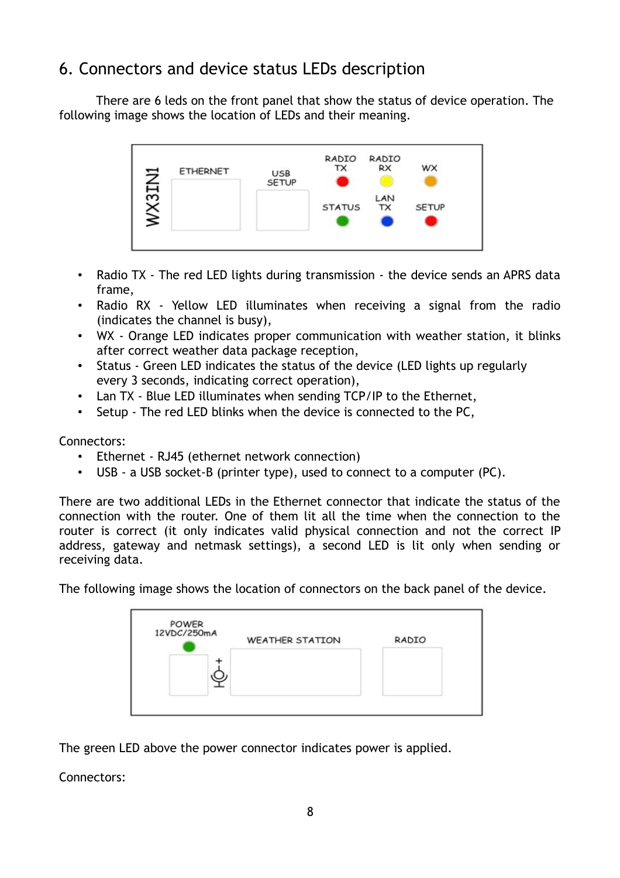## 6. Connectors and device status LEDs description

There are 6 leds on the front panel that show the status of device operation. The following image shows the location of LEDs and their meaning.



- Radio TX The red LED lights during transmission the device sends an APRS data frame,
- Radio RX Yellow LED illuminates when receiving a signal from the radio (indicates the channel is busy),
- WX Orange LED indicates proper communication with weather station, it blinks after correct weather data package reception,
- Status Green LED indicates the status of the device (LED lights up regularly every 3 seconds, indicating correct operation),
- Lan TX Blue LED illuminates when sending TCP/IP to the Ethernet,
- Setup The red LED blinks when the device is connected to the PC,

Connectors:

- Ethernet RJ45 (ethernet network connection)
- USB a USB socket-B (printer type), used to connect to a computer (PC).

There are two additional LEDs in the Ethernet connector that indicate the status of the connection with the router. One of them lit all the time when the connection to the router is correct (it only indicates valid physical connection and not the correct IP address, gateway and netmask settings), a second LED is lit only when sending or receiving data.

The following image shows the location of connectors on the back panel of the device.

| 12VDC/250mA | <b>WEATHER STATION</b> | RADIO |
|-------------|------------------------|-------|
|             |                        |       |
|             |                        |       |
|             |                        |       |

The green LED above the power connector indicates power is applied.

Connectors: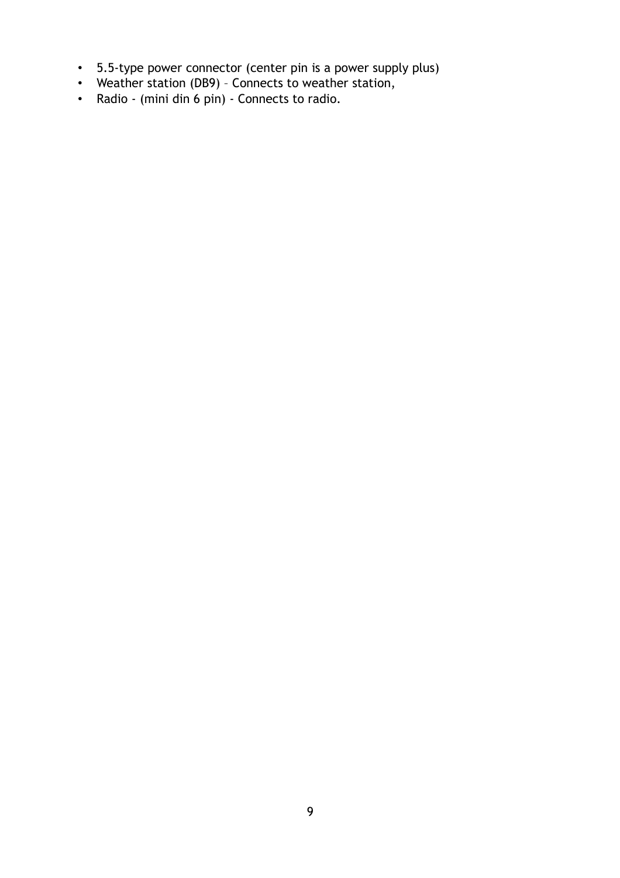- 5.5-type power connector (center pin is a power supply plus)
- Weather station (DB9) Connects to weather station,
- Radio (mini din 6 pin) Connects to radio.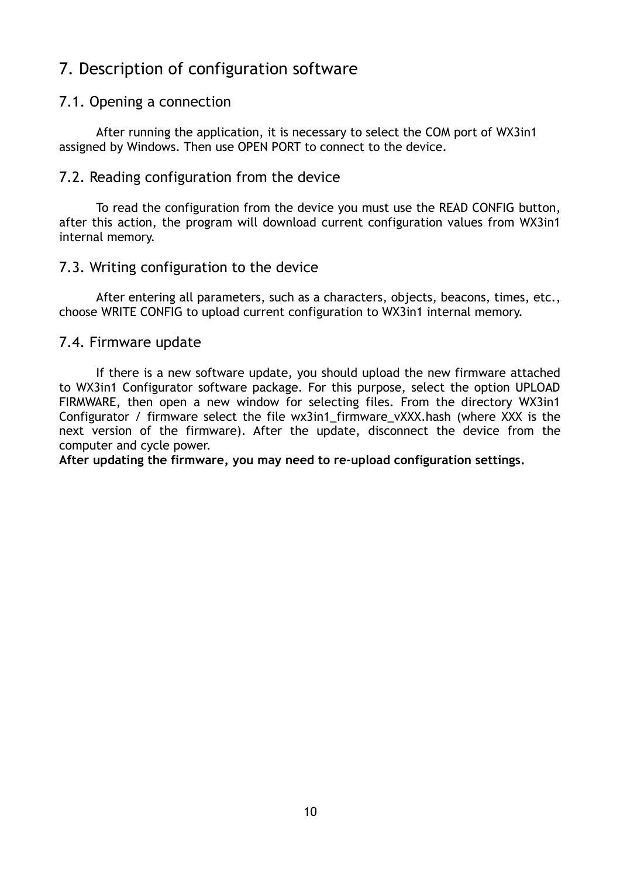### 7. Description of configuration software

#### 7.1. Opening a connection

After running the application, it is necessary to select the COM port of WX3in1 assigned by Windows. Then use OPEN PORT to connect to the device.

#### 7.2. Reading configuration from the device

To read the configuration from the device you must use the READ CONFIG button, after this action, the program will download current configuration values from WX3in1 internal memory.

#### 7.3. Writing configuration to the device

After entering all parameters, such as a characters, objects, beacons, times, etc., choose WRITE CONFIG to upload current configuration to WX3in1 internal memory.

#### 7.4. Firmware update

If there is a new software update, you should upload the new firmware attached to WX3in1 Configurator software package. For this purpose, select the option UPLOAD FIRMWARE, then open a new window for selecting files. From the directory WX3in1 Configurator / firmware select the file wx3in1 firmware vXXX.hash (where XXX is the next version of the firmware). After the update, disconnect the device from the computer and cycle power.

**After updating the firmware, you may need to re-upload configuration settings.**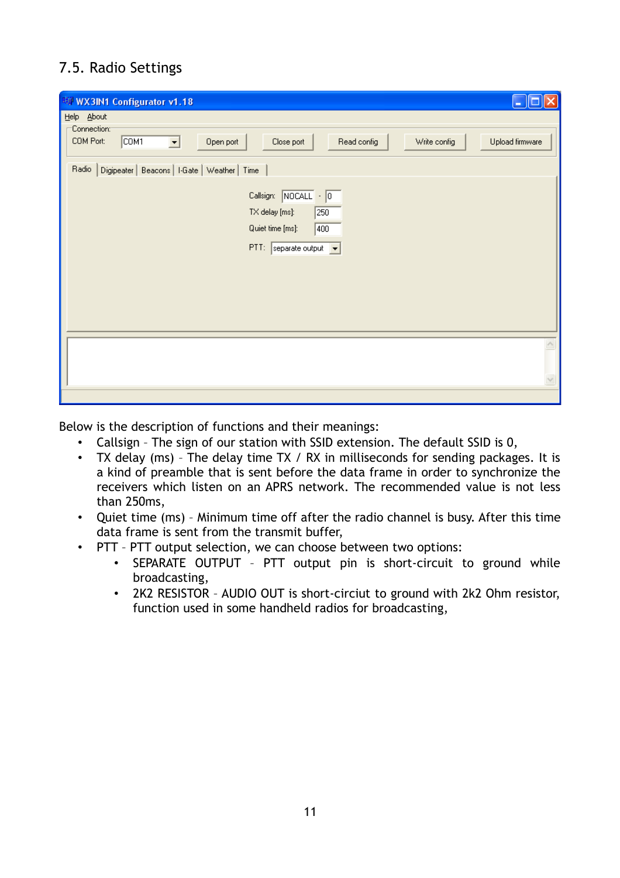### 7.5. Radio Settings

| WW WX3IN1 Configurator v1.18                                                                                                                                                                                                                                                                                                                      |
|---------------------------------------------------------------------------------------------------------------------------------------------------------------------------------------------------------------------------------------------------------------------------------------------------------------------------------------------------|
| Help About<br>Connection:<br>COM <sub>1</sub><br>COM Port:<br>Read config<br>Write config<br>Upload firmware<br>Open port<br>Close port<br>$\vert \cdot \vert$<br>Digipeater   Beacons   I-Gate   Weather   Time<br>Radio<br>Callsign: NOCALL - 0<br>TX delay [ms]:<br>250<br>Quiet time [ms]:<br>400<br>$PTI:$ separate output $\boxed{\bullet}$ |
|                                                                                                                                                                                                                                                                                                                                                   |

Below is the description of functions and their meanings:

- Callsign The sign of our station with SSID extension. The default SSID is 0,
- TX delay (ms) The delay time TX / RX in milliseconds for sending packages. It is a kind of preamble that is sent before the data frame in order to synchronize the receivers which listen on an APRS network. The recommended value is not less than 250ms,
- Quiet time (ms) Minimum time off after the radio channel is busy. After this time data frame is sent from the transmit buffer,
- PTT PTT output selection, we can choose between two options:
	- SEPARATE OUTPUT PTT output pin is short-circuit to ground while broadcasting,
	- 2K2 RESISTOR AUDIO OUT is short-circiut to ground with 2k2 Ohm resistor, function used in some handheld radios for broadcasting,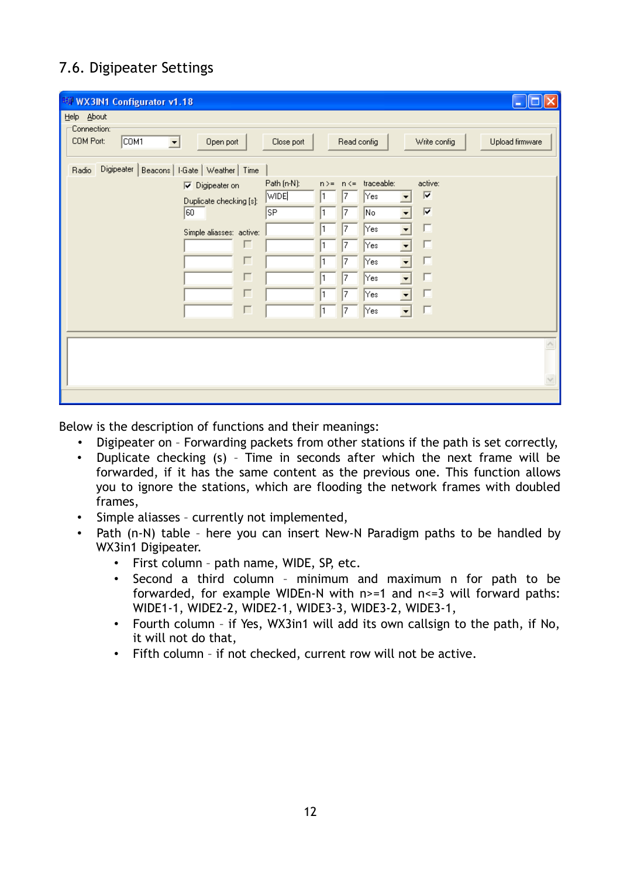### 7.6. Digipeater Settings

| <b>WWW.3IN1 Configurator v1.18</b>                                                                                                                            | $\overline{\phantom{a}}$                                                                                                                                                                                                      |
|---------------------------------------------------------------------------------------------------------------------------------------------------------------|-------------------------------------------------------------------------------------------------------------------------------------------------------------------------------------------------------------------------------|
| Help About<br>Connection:<br>COM <sub>1</sub><br>COM Port:<br>Open port<br>$\blacktriangledown$<br>Digipeater  <br>Beacons   I-Gate   Weather   Time<br>Radio | Read config<br>Write config<br>Upload firmware<br>Close port                                                                                                                                                                  |
| $\nabla$ Digipeater on<br>Duplicate checking [s]:<br>60<br>Simple aliasses: active:<br>г<br>г<br>г<br>г<br>г                                                  | Path (n-N):<br>n>= n <= traceable:<br>active:<br><b>WIDE</b><br> ⊽<br> Yes <br>7<br>⊽<br><b>SP</b><br>No<br>7<br>D<br>Yes<br>7<br>г<br>Yes<br>7<br>Yes<br>7<br>Yes<br>7<br>Yes<br>7<br> Yes<br>7<br>$\blacktriangledown$<br>ш |
|                                                                                                                                                               |                                                                                                                                                                                                                               |
|                                                                                                                                                               |                                                                                                                                                                                                                               |

Below is the description of functions and their meanings:

- Digipeater on Forwarding packets from other stations if the path is set correctly,
- Duplicate checking (s) Time in seconds after which the next frame will be forwarded, if it has the same content as the previous one. This function allows you to ignore the stations, which are flooding the network frames with doubled frames,
- Simple aliasses currently not implemented,
- Path (n-N) table here you can insert New-N Paradigm paths to be handled by WX3in1 Digipeater.
	- First column path name, WIDE, SP, etc.
	- Second a third column minimum and maximum n for path to be forwarded, for example WIDEn-N with  $n>=1$  and  $n<=3$  will forward paths: WIDE1-1, WIDE2-2, WIDE2-1, WIDE3-3, WIDE3-2, WIDE3-1,
	- Fourth column if Yes, WX3in1 will add its own callsign to the path, if No, it will not do that,
	- Fifth column if not checked, current row will not be active.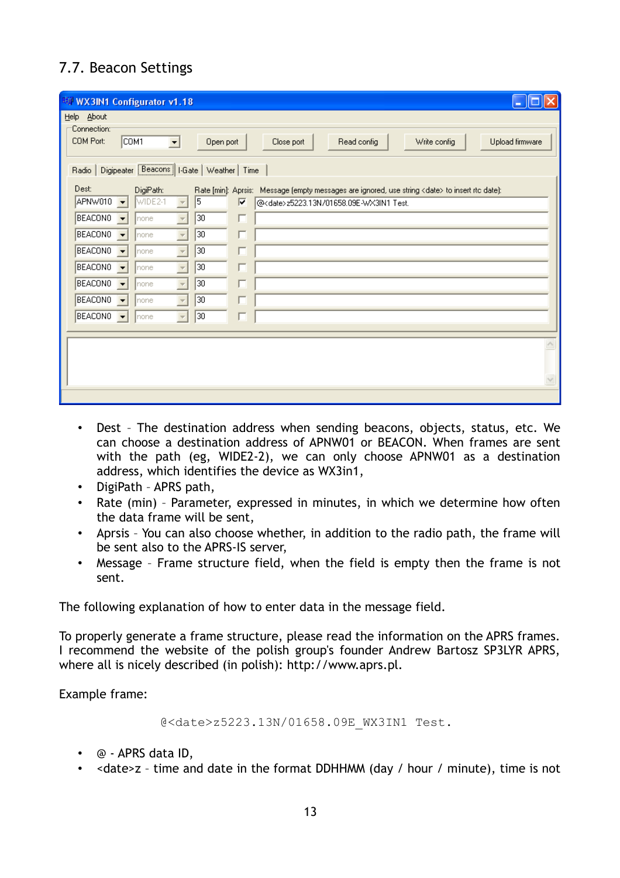### 7.7. Beacon Settings

| <b>EW WX3IN1 Configurator v1.18</b> |                                                                                                                                      |                          |                 |    | l –                                                                                                    |  |
|-------------------------------------|--------------------------------------------------------------------------------------------------------------------------------------|--------------------------|-----------------|----|--------------------------------------------------------------------------------------------------------|--|
| Help About                          |                                                                                                                                      |                          |                 |    |                                                                                                        |  |
| COM Port:                           | Connection:<br>COM <sub>1</sub><br>Read config<br>Write config<br>Upload firmware<br>Close port<br>$\blacktriangledown$<br>Open port |                          |                 |    |                                                                                                        |  |
| Radio                               | Digipeater [Beacons] I-Gate   Weather   Time                                                                                         |                          |                 |    |                                                                                                        |  |
| Dest:                               | DigiPath:                                                                                                                            |                          |                 |    | Rate [min]: Aprsis: Message (empty messages are ignored, use string <date> to insert rtc date):</date> |  |
| APNW010                             | WIDE2-1<br>$\overline{\phantom{a}}$                                                                                                  | $\overline{\phantom{a}}$ | $\sqrt{5}$      | ⊽  | @ <date>z5223.13N/01658.09E-WX3IN1 Test.</date>                                                        |  |
| <b>BEACONO</b>                      | $\overline{\phantom{a}}$<br>Inone                                                                                                    | $\overline{\psi}$        | 30              | H. |                                                                                                        |  |
| <b>BEACONO</b>                      | $\overline{\phantom{a}}$<br> none                                                                                                    |                          | 30              | Г  |                                                                                                        |  |
| <b>BEACONO</b>                      | $\overline{\phantom{a}}$<br>Inone                                                                                                    |                          | 30              |    |                                                                                                        |  |
| <b>BEACONO</b>                      | $\overline{\phantom{a}}$<br>Inone                                                                                                    | $\bar{\psi}$             | 30              |    |                                                                                                        |  |
| BEACON0                             | $\overline{\phantom{0}}$<br> none                                                                                                    | $\overline{\mathcal{M}}$ | 30              |    |                                                                                                        |  |
| BEACONO                             | $\overline{\phantom{a}}$<br> none                                                                                                    | $\overline{\phantom{a}}$ | 30              |    |                                                                                                        |  |
| BEACON0                             | $\overline{\phantom{a}}$<br>Inone                                                                                                    | $\overline{\phantom{a}}$ | $\overline{30}$ |    |                                                                                                        |  |
|                                     |                                                                                                                                      |                          |                 |    |                                                                                                        |  |
|                                     |                                                                                                                                      |                          |                 |    |                                                                                                        |  |
|                                     |                                                                                                                                      |                          |                 |    |                                                                                                        |  |
|                                     |                                                                                                                                      |                          |                 |    |                                                                                                        |  |
|                                     |                                                                                                                                      |                          |                 |    |                                                                                                        |  |

- Dest The destination address when sending beacons, objects, status, etc. We can choose a destination address of APNW01 or BEACON. When frames are sent with the path (eg, WIDE2-2), we can only choose APNW01 as a destination address, which identifies the device as WX3in1,
- DigiPath APRS path,
- Rate (min) Parameter, expressed in minutes, in which we determine how often the data frame will be sent,
- Aprsis You can also choose whether, in addition to the radio path, the frame will be sent also to the APRS-IS server,
- Message Frame structure field, when the field is empty then the frame is not sent.

The following explanation of how to enter data in the message field.

To properly generate a frame structure, please read the information on the APRS frames. I recommend the website of the polish group's founder Andrew Bartosz SP3LYR APRS, where all is nicely described (in polish): http://www.aprs.pl.

Example frame:

@<date>z5223.13N/01658.09E\_WX3IN1 Test.

- @ APRS data ID,
- <date>z time and date in the format DDHHMM (day / hour / minute), time is not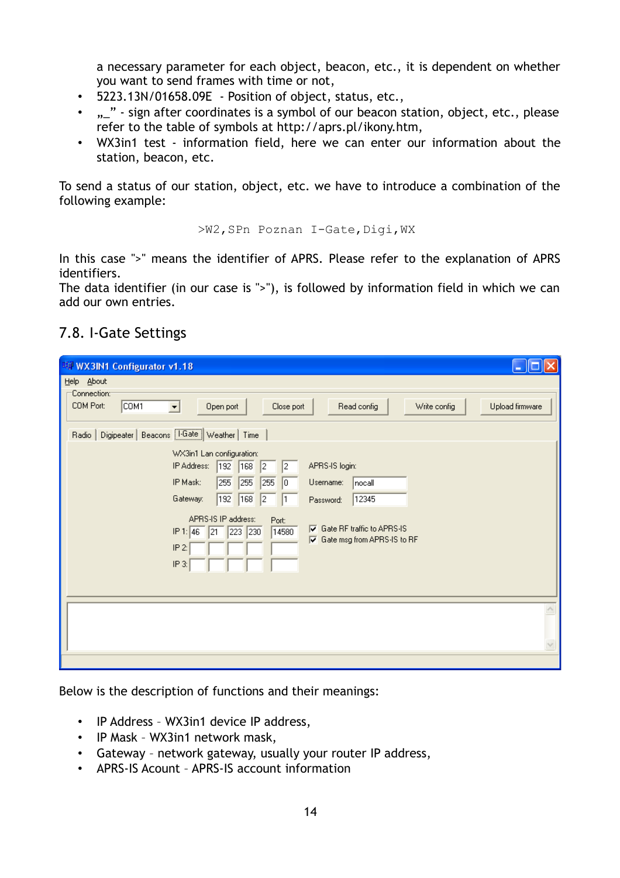a necessary parameter for each object, beacon, etc., it is dependent on whether you want to send frames with time or not,

- 5223.13N/01658.09E Position of object, status, etc.,
- .. " sign after coordinates is a symbol of our beacon station, object, etc., please refer to the table of symbols at http://aprs.pl/ikony.htm,
- WX3in1 test information field, here we can enter our information about the station, beacon, etc.

To send a status of our station, object, etc. we have to introduce a combination of the following example:

>W2,SPn Poznan I-Gate,Digi,WX

In this case ">" means the identifier of APRS. Please refer to the explanation of APRS identifiers.

The data identifier (in our case is ">"), is followed by information field in which we can add our own entries.

### 7.8. I-Gate Settings

| 聊 WX3IN1 Configurator v1.18<br>٠                                                                                                                                                                                                                                                                                                                                                                                                                                                                                                                                                                                                                                                  |
|-----------------------------------------------------------------------------------------------------------------------------------------------------------------------------------------------------------------------------------------------------------------------------------------------------------------------------------------------------------------------------------------------------------------------------------------------------------------------------------------------------------------------------------------------------------------------------------------------------------------------------------------------------------------------------------|
| Help About<br>:Connection⊙<br>COM <sub>1</sub><br>COM Port:<br>Close port<br>Read config<br>Write config<br>Upload firmware<br>$\vert \cdot \vert$<br>Open port<br>Digipeater   Beacons   FGate   Weather   Time<br>Radio<br>WX3in1 Lan configuration:<br>192<br>APRS-IS login:<br>IP Address:<br>168<br>$\sqrt{2}$<br>$\vert$ <sub>2</sub><br>IP Mask:<br>255<br>$\sqrt{255}$<br>$\sqrt{255}$<br>$\sqrt{a}$<br>Username:<br>nocall<br>192<br>168<br>$\sqrt{2}$<br>12345<br>Gateway:<br>$\mathsf{I}$<br>Password:<br>APRS-IS IP address:<br>Port:<br>$\nabla$ Gate RF traffic to APRS-IS<br>IP 1: 46<br>223 230<br>21<br>14580<br>☑ Gate msg from APRS-IS to RF<br>IP 2:<br>IP 3: |
|                                                                                                                                                                                                                                                                                                                                                                                                                                                                                                                                                                                                                                                                                   |

Below is the description of functions and their meanings:

- IP Address WX3in1 device IP address,
- IP Mask WX3in1 network mask,
- Gateway network gateway, usually your router IP address,
- APRS-IS Acount APRS-IS account information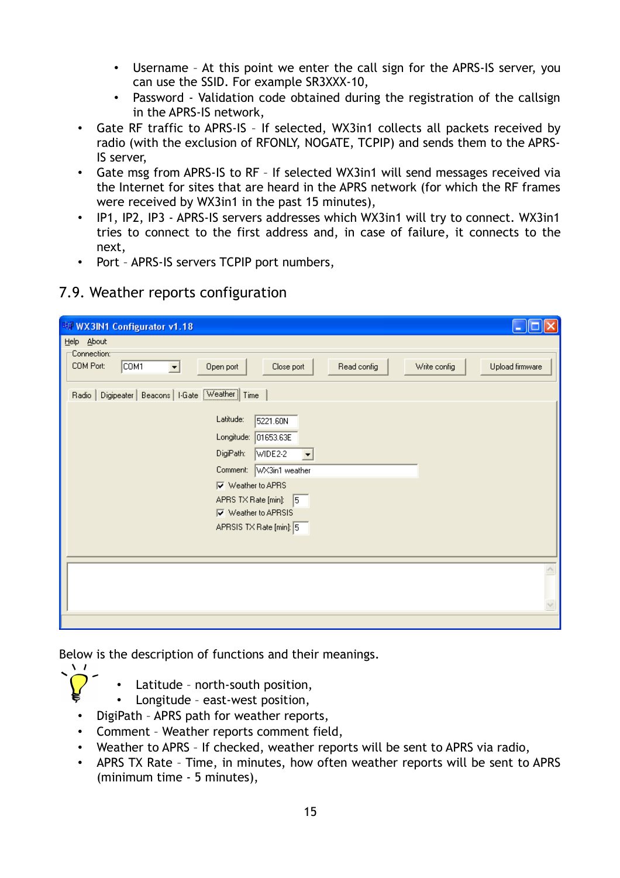- Username At this point we enter the call sign for the APRS-IS server, you can use the SSID. For example SR3XXX-10,
- Password Validation code obtained during the registration of the callsign in the APRS-IS network,
- Gate RF traffic to APRS-IS If selected, WX3in1 collects all packets received by radio (with the exclusion of RFONLY, NOGATE, TCPIP) and sends them to the APRS-IS server,
- Gate msg from APRS-IS to RF If selected WX3in1 will send messages received via the Internet for sites that are heard in the APRS network (for which the RF frames were received by WX3in1 in the past 15 minutes),
- IP1, IP2, IP3 APRS-IS servers addresses which WX3in1 will try to connect. WX3in1 tries to connect to the first address and, in case of failure, it connects to the next,
- Port APRS-IS servers TCPIP port numbers,

#### 7.9. Weather reports configuration

| ц                                                                                                                                                                                                                                                                    |
|----------------------------------------------------------------------------------------------------------------------------------------------------------------------------------------------------------------------------------------------------------------------|
| Help About<br>Connection:<br>COM <sub>1</sub><br>COM Port:<br>Read config<br>Write config<br>Upload firmware<br>Open port<br>Close port<br>≖                                                                                                                         |
| Digipeater   Beacons   I-Gate Weather   Time<br>Radio                                                                                                                                                                                                                |
| Latitude:<br>5221.60N<br>01653.63E<br>Longitude:<br>DigiPath:<br>WIDE <sub>2-2</sub><br>$\blacktriangledown$<br>Comment:<br>WX3in1 weather<br><b>▽</b> Weather to APRS<br>APRS TX Rate [min]:<br>$\sqrt{5}$<br><b>▽</b> Weather to APRSIS<br>APRSIS TX Rate [min]: 5 |
|                                                                                                                                                                                                                                                                      |
|                                                                                                                                                                                                                                                                      |
|                                                                                                                                                                                                                                                                      |

Below is the description of functions and their meanings.

- Latitude north-south position,
- Longitude east-west position,
- DigiPath APRS path for weather reports,

 $\sqrt{1}$ 

- Comment Weather reports comment field,
- Weather to APRS If checked, weather reports will be sent to APRS via radio,
- APRS TX Rate Time, in minutes, how often weather reports will be sent to APRS (minimum time - 5 minutes),